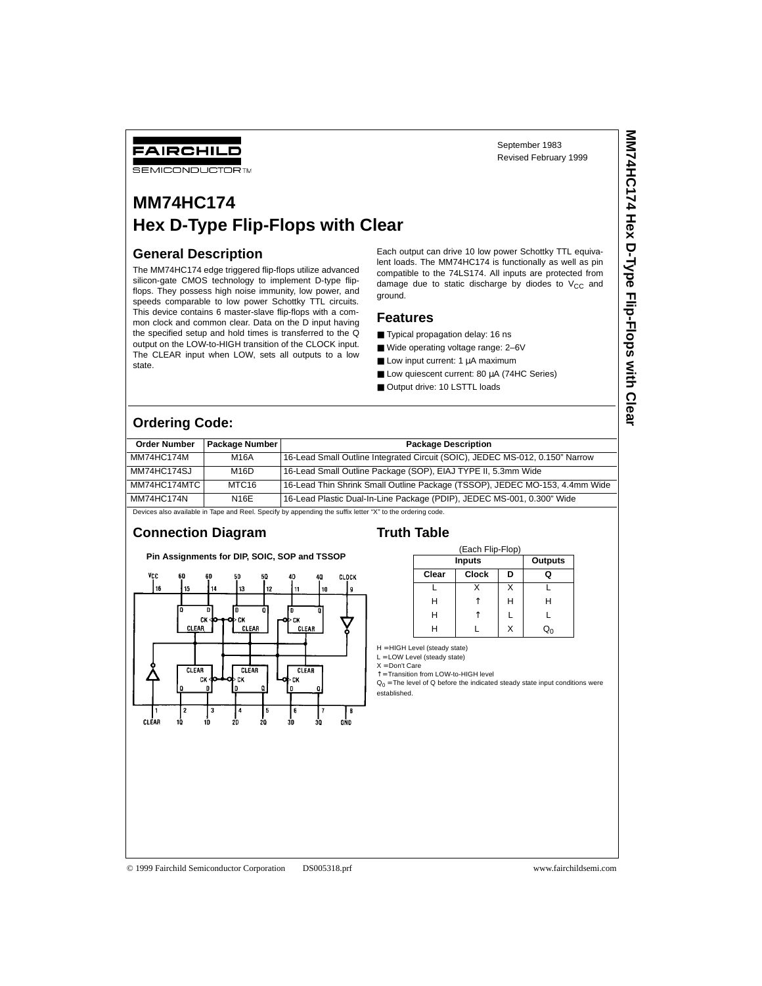# **SEMICONDUCTOR TM**

# **MM74HC174 Hex D-Type Flip-Flops with Clear**

### **General Description**

FAIRCHILD

The MM74HC174 edge triggered flip-flops utilize advanced silicon-gate CMOS technology to implement D-type flipflops. They possess high noise immunity, low power, and speeds comparable to low power Schottky TTL circuits. This device contains 6 master-slave flip-flops with a common clock and common clear. Data on the D input having the specified setup and hold times is transferred to the Q output on the LOW-to-HIGH transition of the CLOCK input. The CLEAR input when LOW, sets all outputs to a low state.

Each output can drive 10 low power Schottky TTL equivalent loads. The MM74HC174 is functionally as well as pin compatible to the 74LS174. All inputs are protected from damage due to static discharge by diodes to  $V_{CC}$  and ground.

#### **Features**

- Typical propagation delay: 16 ns
- Wide operating voltage range: 2-6V
- Low input current: 1 µA maximum
- Low quiescent current: 80 µA (74HC Series)
- Output drive: 10 LSTTL loads

# **Ordering Code:**

| <b>Order Number</b>                                                                                       | Package Number    | <b>Package Description</b>                                                   |  |  |  |
|-----------------------------------------------------------------------------------------------------------|-------------------|------------------------------------------------------------------------------|--|--|--|
| MM74HC174M                                                                                                | <b>M16A</b>       | 16-Lead Small Outline Integrated Circuit (SOIC), JEDEC MS-012, 0.150" Narrow |  |  |  |
| MM74HC174SJ                                                                                               | M16D              | 16-Lead Small Outline Package (SOP), EIAJ TYPE II, 5.3mm Wide                |  |  |  |
| MM74HC174MTC                                                                                              | MTC <sub>16</sub> | 16-Lead Thin Shrink Small Outline Package (TSSOP), JEDEC MO-153, 4.4mm Wide  |  |  |  |
| <b>MM74HC174N</b>                                                                                         | N <sub>16F</sub>  | 16-Lead Plastic Dual-In-Line Package (PDIP), JEDEC MS-001, 0.300" Wide       |  |  |  |
| Devices also available in Tape and Reel. Specify by appending the suffix letter "X" to the ordering code. |                   |                                                                              |  |  |  |

# **Connection Diagram**

**Pin Assignments for DIP, SOIC, SOP and TSSOP**



#### **Truth Table**

| (Each Flip-Flop) |         |   |   |  |  |  |
|------------------|---------|---|---|--|--|--|
| Inputs           | Outputs |   |   |  |  |  |
| Clear            | נ       |   |   |  |  |  |
|                  |         | x |   |  |  |  |
| Н                |         | н | н |  |  |  |
| Н                |         |   |   |  |  |  |
| ц                |         | x |   |  |  |  |

H = HIGH Level (steady state)

L = LOW Level (steady state)  $X = Don't Care$ 

↑ = Transition from LOW-to-HIGH level

 $Q_0$  = The level of Q before the indicated steady state input conditions were established.

© 1999 Fairchild Semiconductor Corporation DS005318.prf www.fairchildsemi.com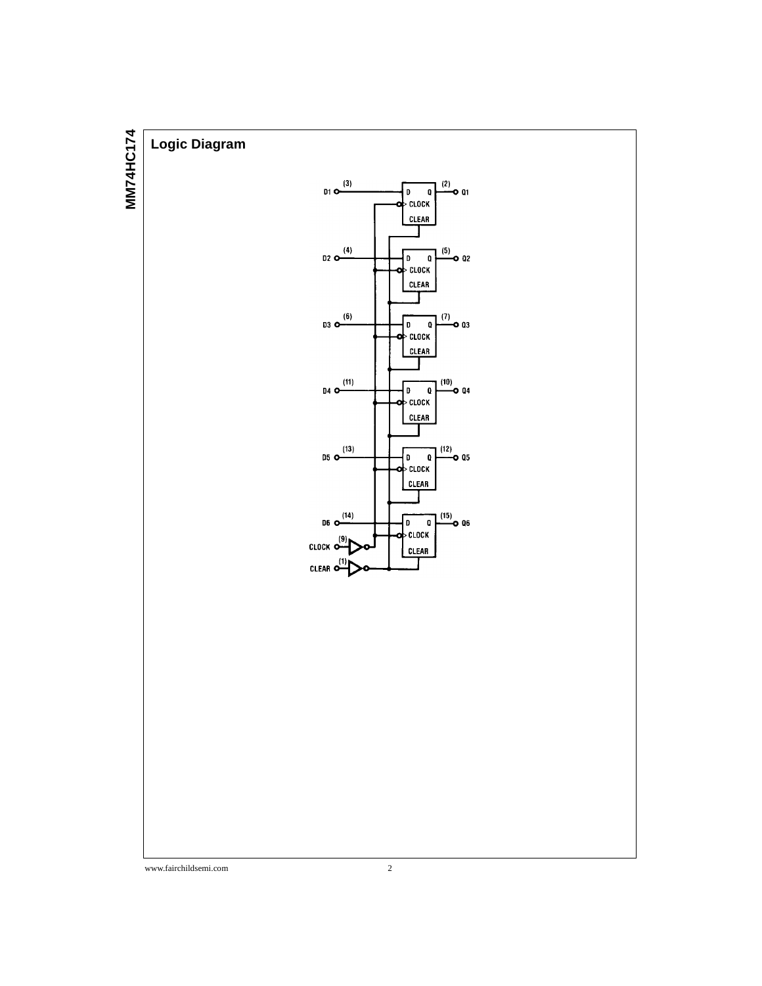

www.fairchildsemi.com 2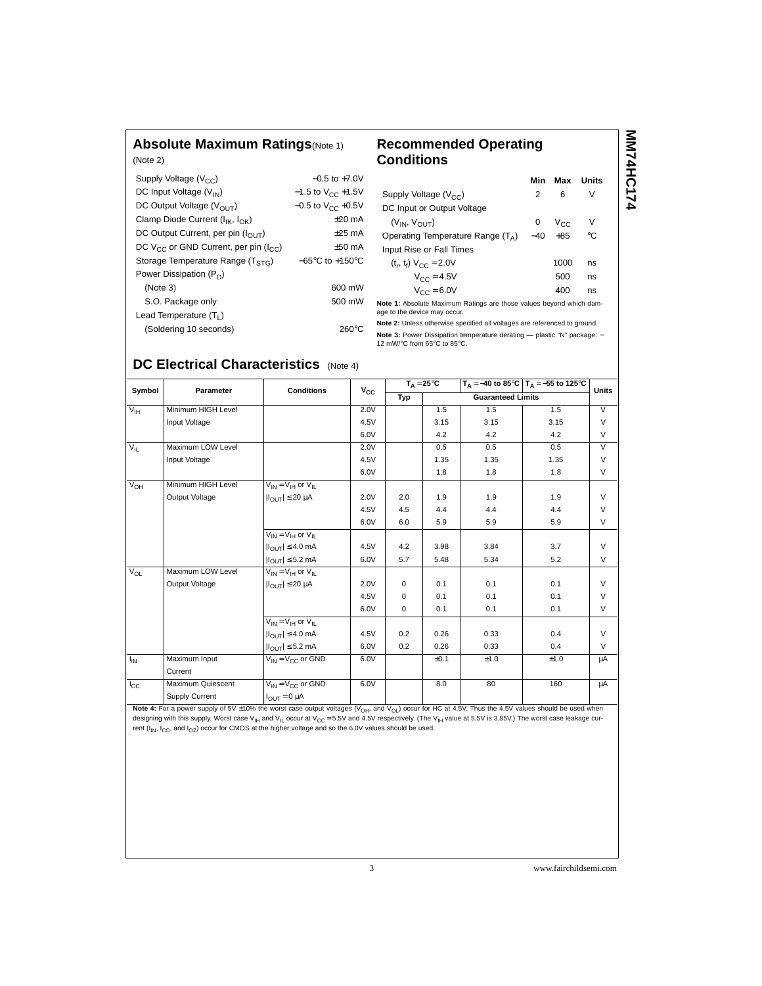## **Absolute Maximum Ratings**(Note 1)

### **Recommended Operating Conditions**

| (Note 2)                                         |                                     |
|--------------------------------------------------|-------------------------------------|
| Supply Voltage $(V_{CC})$                        | $-0.5$ to $+7.0V$                   |
| DC Input Voltage $(V_{IN})$                      | $-1.5$ to $V_{CC}$ +1.5V            |
| DC Output Voltage ( $V_{\text{OUT}}$ )           | $-0.5$ to V <sub>CC</sub> +0.5V     |
| Clamp Diode Current ( $I_{IK}$ , $I_{OK}$ )      | $+20$ mA                            |
| DC Output Current, per pin (IOUT)                | $+25$ mA                            |
| DC $V_{CC}$ or GND Current, per pin ( $I_{CC}$ ) | $+50$ mA                            |
| Storage Temperature Range $(T_{STG})$            | $-65^{\circ}$ C to $+150^{\circ}$ C |
| Power Dissipation $(P_D)$                        |                                     |
| (Note 3)                                         | 600 mW                              |
| S.O. Package only                                | 500 mW                              |
| Lead Temperature $(T_1)$                         |                                     |
| (Soldering 10 seconds)                           | $260^{\circ}$ C                     |

|                                                                            | Min   | Max          | Units |  |
|----------------------------------------------------------------------------|-------|--------------|-------|--|
| Supply Voltage $(V_{CC})$                                                  | 2     | 6            | v     |  |
| DC Input or Output Voltage                                                 |       |              |       |  |
| $(V_{IN}, V_{OIIT})$                                                       | 0     | $V_{\rm CC}$ | V     |  |
| Operating Temperature Range $(T_A)$                                        | $-40$ | $+85$        | °C    |  |
| Input Rise or Fall Times                                                   |       |              |       |  |
| $(t_r, t_f) V_{CC} = 2.0V$                                                 |       | 1000         | ns    |  |
| $V_{CC} = 4.5V$                                                            |       | 500          | ns    |  |
| $V_{CC} = 6.0V$                                                            |       | 400          | ns    |  |
| diata di Abaabita Maritanian Battago ang thaga ingkisa barragalishtab daga |       |              |       |  |

**MM74HC174** 

MM74HC174

**Note 1:** Absolute Maximum Ratings are those values beyond which damage to the device may occur.

**Note 2:** Unless otherwise specified all voltages are referenced to ground.

**Note 3:** Power Dissipation temperature derating — plastic "N" package: −<br>12 mW/°C from 65°C to 85°C.

# **DC Electrical Characteristics** (Note 4)

| Symbol          | Parameter          | <b>Conditions</b>                      | $V_{\rm CC}$ | $T_A = 25^{\circ}C$ |      |                          | $T_A = -40$ to 85°C $T_A = -55$ to 125°C | <b>Units</b>   |
|-----------------|--------------------|----------------------------------------|--------------|---------------------|------|--------------------------|------------------------------------------|----------------|
|                 |                    |                                        |              | Typ                 |      | <b>Guaranteed Limits</b> |                                          |                |
| $V_{\text{IH}}$ | Minimum HIGH Level |                                        | 2.0V         |                     | 1.5  | 1.5                      | 1.5                                      | $\overline{V}$ |
|                 | Input Voltage      |                                        | 4.5V         |                     | 3.15 | 3.15                     | 3.15                                     | $\vee$         |
|                 |                    |                                        | 6.0V         |                     | 4.2  | 4.2                      | 4.2                                      | $\vee$         |
| $V_{IL}$        | Maximum LOW Level  |                                        | 2.0V         |                     | 0.5  | 0.5                      | 0.5                                      | $\vee$         |
|                 | Input Voltage      |                                        | 4.5V         |                     | 1.35 | 1.35                     | 1.35                                     | $\vee$         |
|                 |                    |                                        | 6.0V         |                     | 1.8  | 1.8                      | 1.8                                      | $\vee$         |
| $V_{OH}$        | Minimum HIGH Level | $V_{IN} = V_{IH}$ or $V_{II}$          |              |                     |      |                          |                                          |                |
|                 | Output Voltage     | $ I_{\text{OUT}}  \leq 20 \mu A$       | 2.0V         | 2.0                 | 1.9  | 1.9                      | 1.9                                      | $\vee$         |
|                 |                    |                                        | 4.5V         | 4.5                 | 4.4  | 4.4                      | 4.4                                      | $\vee$         |
|                 |                    |                                        | 6.0V         | 6.0                 | 5.9  | 5.9                      | 5.9                                      | $\vee$         |
|                 |                    | $V_{IN} = V_{IH}$ or $V_{II}$          |              |                     |      |                          |                                          |                |
|                 |                    | $ I_{\bigcap I T}  \leq 4.0$ mA        | 4.5V         | 4.2                 | 3.98 | 3.84                     | 3.7                                      | $\vee$         |
|                 |                    | $ I_{\text{OUT}}  \leq 5.2 \text{ mA}$ | 6.0V         | 5.7                 | 5.48 | 5.34                     | 5.2                                      | $\vee$         |
| $V_{OL}$        | Maximum LOW Level  | $V_{IN} = V_{IH}$ or $V_{II}$          |              |                     |      |                          |                                          |                |
|                 | Output Voltage     | $ I_{\text{OUT}}  \leq 20 \mu A$       | 2.0V         | 0                   | 0.1  | 0.1                      | 0.1                                      | $\vee$         |
|                 |                    |                                        | 4.5V         | 0                   | 0.1  | 0.1                      | 0.1                                      | $\vee$         |
|                 |                    |                                        | 6.0V         | 0                   | 0.1  | 0.1                      | 0.1                                      | $\vee$         |
|                 |                    | $V_{IN} = V_{IH}$ or $V_{II}$          |              |                     |      |                          |                                          |                |
|                 |                    | $ I_{\bigcap I T}  \leq 4.0$ mA        | 4.5V         | 0.2                 | 0.26 | 0.33                     | 0.4                                      | $\vee$         |
|                 |                    | $ I_{OUT}  \leq 5.2$ mA                | 6.0V         | 0.2                 | 0.26 | 0.33                     | 0.4                                      | V              |
| ŀıΝ             | Maximum Input      | $V_{IN} = V_{C}C$ or GND               | 6.0V         |                     | ±0.1 | ±1.0                     | ±1.0                                     | μA             |
|                 | Current            |                                        |              |                     |      |                          |                                          |                |
| $I_{\rm CC}$    | Maximum Quiescent  | $V_{IN} = V_{CC}$ or GND               | 6.0V         |                     | 8.0  | 80                       | 160                                      | μA             |
|                 | Supply Current     | $I_{OUT} = 0 \mu A$                    |              |                     |      |                          |                                          |                |

**Note 4:** For a power supply of 5V  $\pm$ 10% the worst case output voltages (V<sub>OH</sub>, and V<sub>OL</sub>) occur for HC at 4.5V. Thus the 4.5V values should be used when designing with this supply. Worst case  $V_{\text{IH}}$  and  $V_{\text{IL}}$  occur at  $V_{\text{CC}} = 5.5V$  and 4.5V respectively. (The  $V_{\text{IH}}$  value at 5.5V is 3.85V.) The worst case leakage cur-<br>designing with this supply. Worst case  $V_{$ rent ( $I_{IN}$ ,  $I_{CC}$ , and  $I_{OZ}$ ) occur for CMOS at the higher voltage and so the 6.0V values should be used.

3 www.fairchildsemi.com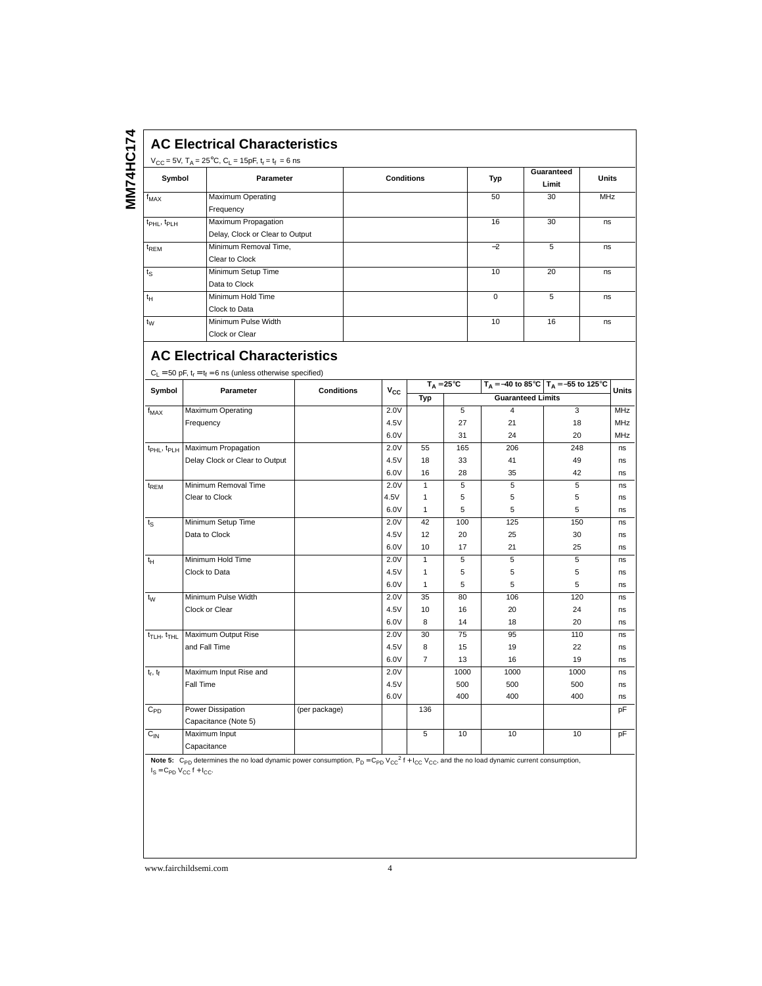# **AC Electrical Characteristics**

| Symbol                        | Parameter                       | <b>Conditions</b> | Typ      | Guaranteed<br>Limit | <b>Units</b> |
|-------------------------------|---------------------------------|-------------------|----------|---------------------|--------------|
| $f_{MAX}$                     | Maximum Operating               |                   | 50       | 30                  | <b>MHz</b>   |
|                               | Frequency                       |                   |          |                     |              |
| $t_{\rm PHL}$ , $t_{\rm PLH}$ | Maximum Propagation             |                   | 16       | 30                  | ns           |
|                               | Delay, Clock or Clear to Output |                   |          |                     |              |
| $t_{\text{REM}}$              | Minimum Removal Time,           |                   | $-2$     | 5                   | ns           |
|                               | Clear to Clock                  |                   |          |                     |              |
| $t_{\rm S}$                   | Minimum Setup Time              |                   | 10       | 20                  | ns           |
|                               | Data to Clock                   |                   |          |                     |              |
| $t_H$                         | Minimum Hold Time               |                   | $\Omega$ | 5                   | ns           |
|                               | Clock to Data                   |                   |          |                     |              |
| $t_{\rm W}$                   | Minimum Pulse Width             |                   | 10       | 16                  | ns           |
|                               | Clock or Clear                  |                   |          |                     |              |

# **AC Electrical Characteristics**

 $C_1 = 50 \text{ pF}, t_r = t_f = 6 \text{ ns (unless otherwise specified)}$ 

| Symbol                              | .<br>Parameter                 | <b>Conditions</b> |          | $T_A = 25^{\circ}C$ |                          | $T_A = -40$ to 85°C $T_A = -55$ to 125°C |      | <b>Units</b> |
|-------------------------------------|--------------------------------|-------------------|----------|---------------------|--------------------------|------------------------------------------|------|--------------|
|                                     |                                |                   | $V_{CC}$ | Typ                 | <b>Guaranteed Limits</b> |                                          |      |              |
| $f_{MAX}$                           | Maximum Operating              |                   | 2.0V     |                     | 5                        | 4                                        | 3    | <b>MHz</b>   |
|                                     | Frequency                      |                   | 4.5V     |                     | 27                       | 21                                       | 18   | <b>MHz</b>   |
|                                     |                                |                   | 6.0V     |                     | 31                       | 24                                       | 20   | <b>MHz</b>   |
| t <sub>PHL</sub> , t <sub>PLH</sub> | Maximum Propagation            |                   | 2.0V     | 55                  | 165                      | 206                                      | 248  | ns           |
|                                     | Delay Clock or Clear to Output |                   | 4.5V     | 18                  | 33                       | 41                                       | 49   | ns           |
|                                     |                                |                   | 6.0V     | 16                  | 28                       | 35                                       | 42   | ns           |
| t <sub>REM</sub>                    | Minimum Removal Time           |                   | 2.0V     | $\mathbf{1}$        | 5                        | 5                                        | 5    | ns           |
|                                     | Clear to Clock                 |                   | 4.5V     | $\mathbf{1}$        | 5                        | 5                                        | 5    | ns           |
|                                     |                                |                   | 6.0V     | $\mathbf{1}$        | 5                        | 5                                        | 5    | ns           |
| $t_{S}$                             | Minimum Setup Time             |                   | 2.0V     | 42                  | 100                      | 125                                      | 150  | ns           |
|                                     | Data to Clock                  |                   | 4.5V     | 12                  | 20                       | 25                                       | 30   | ns           |
|                                     |                                |                   | 6.0V     | 10                  | 17                       | 21                                       | 25   | ns           |
| $t_H$                               | Minimum Hold Time              |                   | 2.0V     | $\mathbf{1}$        | 5                        | 5                                        | 5    | ns           |
|                                     | Clock to Data                  |                   | 4.5V     | $\mathbf{1}$        | 5                        | 5                                        | 5    | ns           |
|                                     |                                |                   | 6.0V     | $\mathbf{1}$        | 5                        | 5                                        | 5    | ns           |
| $t_{W}$                             | Minimum Pulse Width            |                   | 2.0V     | 35                  | 80                       | 106                                      | 120  | ns           |
|                                     | Clock or Clear                 |                   | 4.5V     | 10                  | 16                       | 20                                       | 24   | ns           |
|                                     |                                |                   | 6.0V     | 8                   | 14                       | 18                                       | 20   | ns           |
| t <sub>TLH</sub> , t <sub>THL</sub> | Maximum Output Rise            |                   | 2.0V     | 30                  | 75                       | 95                                       | 110  | ns           |
|                                     | and Fall Time                  |                   | 4.5V     | 8                   | 15                       | 19                                       | 22   | ns           |
|                                     |                                |                   | 6.0V     | $\overline{7}$      | 13                       | 16                                       | 19   | ns           |
| $t_r$ , $t_f$                       | Maximum Input Rise and         |                   | 2.0V     |                     | 1000                     | 1000                                     | 1000 | ns           |
|                                     | Fall Time                      |                   | 4.5V     |                     | 500                      | 500                                      | 500  | ns           |
|                                     |                                |                   | 6.0V     |                     | 400                      | 400                                      | 400  | ns           |
| $\rm C_{PD}$                        | <b>Power Dissipation</b>       | (per package)     |          | 136                 |                          |                                          |      | pF           |
|                                     | Capacitance (Note 5)           |                   |          |                     |                          |                                          |      |              |
| $C_{IN}$                            | Maximum Input                  |                   |          | 5                   | 10                       | 10                                       | 10   | pF           |
|                                     | Capacitance                    |                   |          |                     |                          |                                          |      |              |
|                                     |                                |                   |          |                     |                          |                                          |      |              |

Note 5: C<sub>PD</sub> determines the no load dynamic power consumption, P<sub>D</sub> = C<sub>PD</sub> V<sub>CC</sub><sup>2</sup> f + I<sub>CC</sub> V<sub>CC</sub>, and the no load dynamic current consumption,  $I_S = C_{PD} V_{CC} f + I_{CC}$ .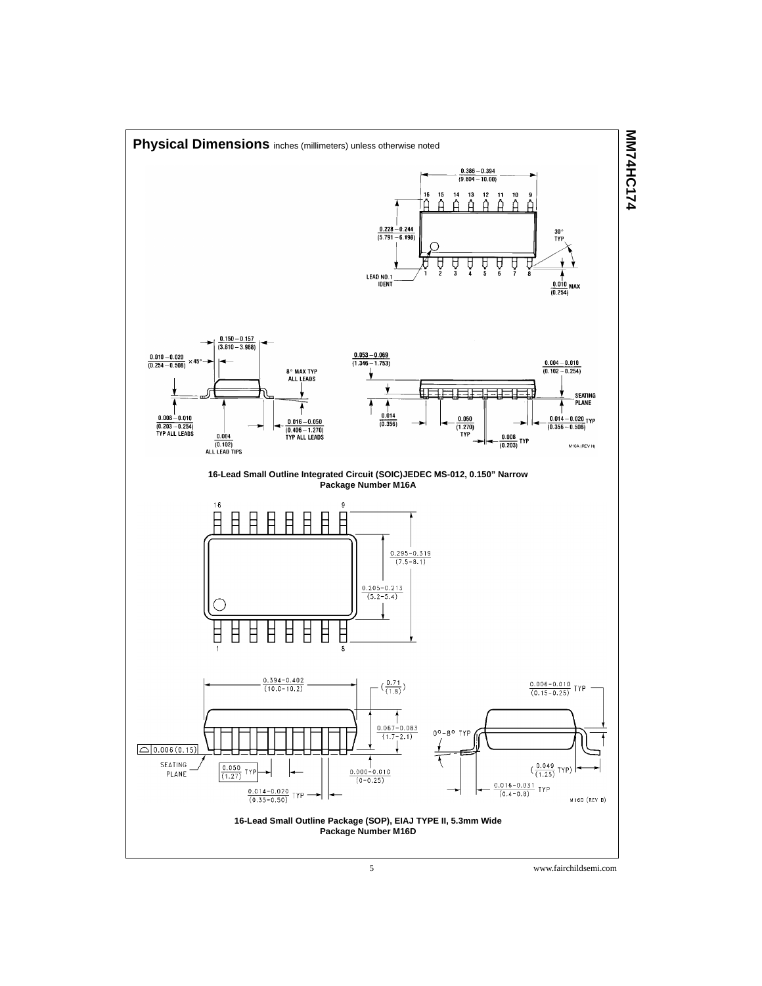

5 www.fairchildsemi.com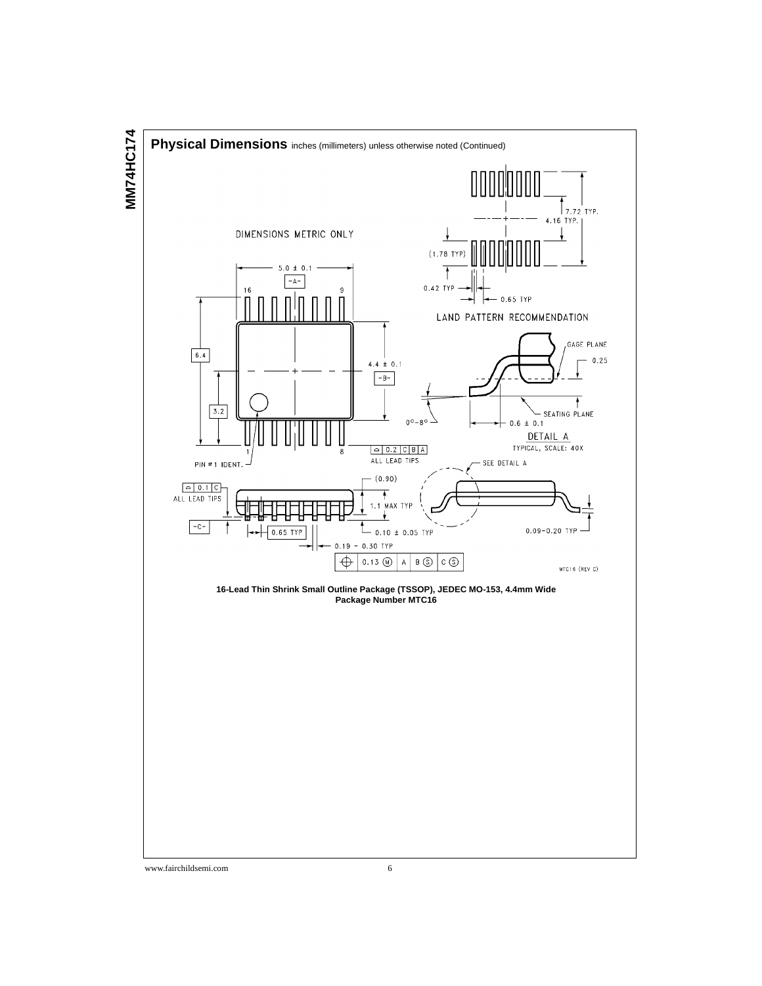